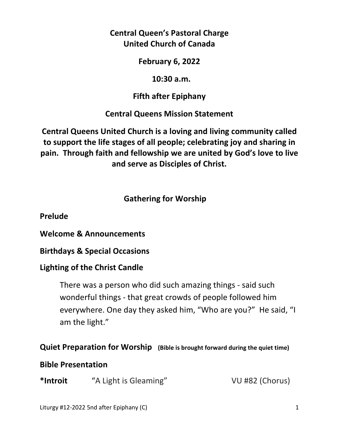**Central Queen's Pastoral Charge United Church of Canada** 

**February 6, 2022** 

 **10:30 a.m.** 

**Fifth after Epiphany** 

**Central Queens Mission Statement** 

**Central Queens United Church is a loving and living community called to support the life stages of all people; celebrating joy and sharing in pain. Through faith and fellowship we are united by God's love to live and serve as Disciples of Christ.**

 **Gathering for Worship** 

**Prelude** 

**Welcome & Announcements** 

**Birthdays & Special Occasions** 

# **Lighting of the Christ Candle**

There was a person who did such amazing things - said such wonderful things - that great crowds of people followed him everywhere. One day they asked him, "Who are you?" He said, "I am the light."

# **Quiet Preparation for Worship (Bible is brought forward during the quiet time)**

# **Bible Presentation**

**\*Introit** "A Light is Gleaming" VU #82 (Chorus)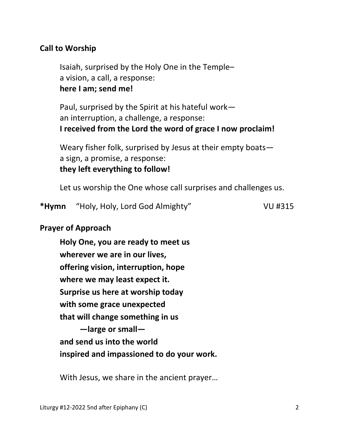## **Call to Worship**

 Isaiah, surprised by the Holy One in the Temple– a vision, a call, a response:  **here I am; send me!**

 Paul, surprised by the Spirit at his hateful work an interruption, a challenge, a response:  **I received from the Lord the word of grace I now proclaim!**

 Weary fisher folk, surprised by Jesus at their empty boats a sign, a promise, a response:  **they left everything to follow!**

Let us worship the One whose call surprises and challenges us.

**\*Hymn** "Holy, Holy, Lord God Almighty" VU #315

### **Prayer of Approach**

 **Holy One, you are ready to meet us wherever we are in our lives, offering vision, interruption, hope where we may least expect it. Surprise us here at worship today with some grace unexpected that will change something in us —large or small and send us into the world inspired and impassioned to do your work.** 

With Jesus, we share in the ancient prayer…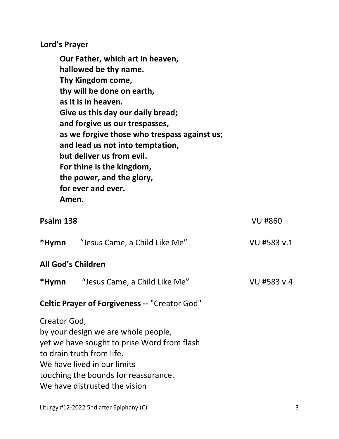**Lord's Prayer** 

**Our Father, which art in heaven, hallowed be thy name. Thy Kingdom come, thy will be done on earth, as it is in heaven. Give us this day our daily bread; and forgive us our trespasses, as we forgive those who trespass against us; and lead us not into temptation, but deliver us from evil. For thine is the kingdom, the power, and the glory, for ever and ever. Amen.** 

| Psalm 138                                            |                                                                                                                                                                                                                         | <b>VU #860</b> |  |
|------------------------------------------------------|-------------------------------------------------------------------------------------------------------------------------------------------------------------------------------------------------------------------------|----------------|--|
|                                                      | <b>*Hymn</b> "Jesus Came, a Child Like Me"                                                                                                                                                                              | VU #583 v.1    |  |
| <b>All God's Children</b>                            |                                                                                                                                                                                                                         |                |  |
|                                                      | *Hymn "Jesus Came, a Child Like Me"                                                                                                                                                                                     | VU #583 v.4    |  |
| <b>Celtic Prayer of Forgiveness -- "Creator God"</b> |                                                                                                                                                                                                                         |                |  |
| Creator God,                                         | by your design we are whole people,<br>yet we have sought to prise Word from flash<br>to drain truth from life.<br>We have lived in our limits<br>touching the bounds for reassurance.<br>We have distrusted the vision |                |  |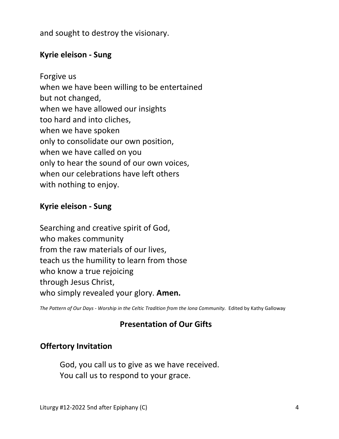and sought to destroy the visionary.

# **Kyrie eleison - Sung**

Forgive us when we have been willing to be entertained but not changed, when we have allowed our insights too hard and into cliches, when we have spoken only to consolidate our own position, when we have called on you only to hear the sound of our own voices, when our celebrations have left others with nothing to enjoy.

## **Kyrie eleison - Sung**

Searching and creative spirit of God, who makes community from the raw materials of our lives, teach us the humility to learn from those who know a true rejoicing through Jesus Christ, who simply revealed your glory. **Amen.** 

The Pattern of Our Days - Worship in the Celtic Tradition from the Iona Community. Edited by Kathy Galloway

# **Presentation of Our Gifts**

### **Offertory Invitation**

 God, you call us to give as we have received. You call us to respond to your grace.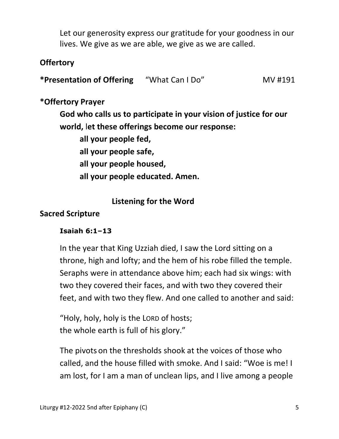Let our generosity express our gratitude for your goodness in our lives. We give as we are able, we give as we are called.

# **Offertory**

**\*Presentation of Offering** "What Can I Do" MV #191

### **\*Offertory Prayer**

 **God who calls us to participate in your vision of justice for our world,** l**et these offerings become our response:** 

 **all your people fed, all your people safe, all your people housed, all your people educated. Amen.**

## **Listening for the Word**

#### **Sacred Scripture**

#### **Isaiah 6:1–13**

 In the year that King Uzziah died, I saw the Lord sitting on a throne, high and lofty; and the hem of his robe filled the temple. Seraphs were in attendance above him; each had six wings: with two they covered their faces, and with two they covered their feet, and with two they flew. And one called to another and said:

 "Holy, holy, holy is the LORD of hosts; the whole earth is full of his glory."

The pivots on the thresholds shook at the voices of those who called, and the house filled with smoke. And I said: "Woe is me! I am lost, for I am a man of unclean lips, and I live among a people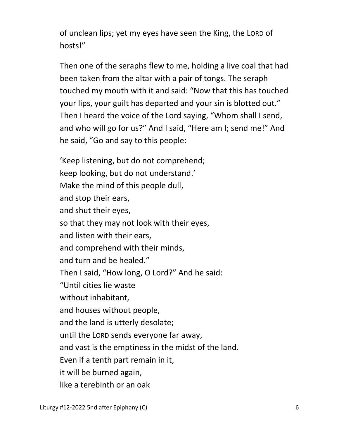of unclean lips; yet my eyes have seen the King, the LORD of hosts!"

Then one of the seraphs flew to me, holding a live coal that had been taken from the altar with a pair of tongs. The seraph touched my mouth with it and said: "Now that this has touched your lips, your guilt has departed and your sin is blotted out." Then I heard the voice of the Lord saying, "Whom shall I send, and who will go for us?" And I said, "Here am I; send me!" And he said, "Go and say to this people:

 'Keep listening, but do not comprehend; keep looking, but do not understand.' Make the mind of this people dull, and stop their ears, and shut their eyes, so that they may not look with their eyes, and listen with their ears, and comprehend with their minds, and turn and be healed." Then I said, "How long, O Lord?" And he said: "Until cities lie waste without inhabitant, and houses without people, and the land is utterly desolate; until the LORD sends everyone far away, and vast is the emptiness in the midst of the land. Even if a tenth part remain in it, it will be burned again, like a terebinth or an oak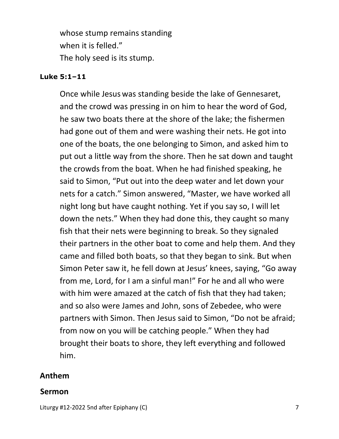whose stump remains standing when it is felled." The holy seed is its stump.

#### **Luke 5:1–11**

 Once while Jesus was standing beside the lake of Gennesaret, and the crowd was pressing in on him to hear the word of God, he saw two boats there at the shore of the lake; the fishermen had gone out of them and were washing their nets. He got into one of the boats, the one belonging to Simon, and asked him to put out a little way from the shore. Then he sat down and taught the crowds from the boat. When he had finished speaking, he said to Simon, "Put out into the deep water and let down your nets for a catch." Simon answered, "Master, we have worked all night long but have caught nothing. Yet if you say so, I will let down the nets." When they had done this, they caught so many fish that their nets were beginning to break. So they signaled their partners in the other boat to come and help them. And they came and filled both boats, so that they began to sink. But when Simon Peter saw it, he fell down at Jesus' knees, saying, "Go away from me, Lord, for I am a sinful man!" For he and all who were with him were amazed at the catch of fish that they had taken; and so also were James and John, sons of Zebedee, who were partners with Simon. Then Jesus said to Simon, "Do not be afraid; from now on you will be catching people." When they had brought their boats to shore, they left everything and followed him.

#### **Anthem**

#### **Sermon**

Liturgy #12-2022 5nd after Epiphany (C) **7** and 2011 12:30 and 2012 12:30 and 2012 12:30 and 2013 12:30 and 2013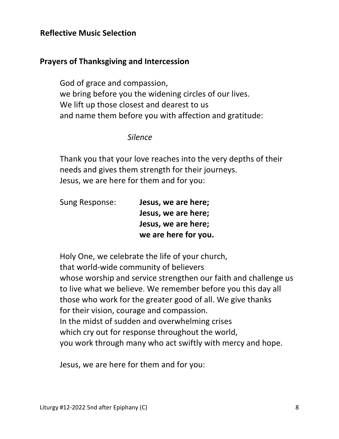### **Reflective Music Selection**

### **Prayers of Thanksgiving and Intercession**

 God of grace and compassion, we bring before you the widening circles of our lives. We lift up those closest and dearest to us and name them before you with affection and gratitude:

#### *Silence*

 Thank you that your love reaches into the very depths of their needs and gives them strength for their journeys. Jesus, we are here for them and for you:

| Sung Response: | Jesus, we are here;  |
|----------------|----------------------|
|                | Jesus, we are here;  |
|                | Jesus, we are here;  |
|                | we are here for you. |

 Holy One, we celebrate the life of your church, that world-wide community of believers whose worship and service strengthen our faith and challenge us to live what we believe. We remember before you this day all those who work for the greater good of all. We give thanks for their vision, courage and compassion. In the midst of sudden and overwhelming crises which cry out for response throughout the world, you work through many who act swiftly with mercy and hope.

Jesus, we are here for them and for you: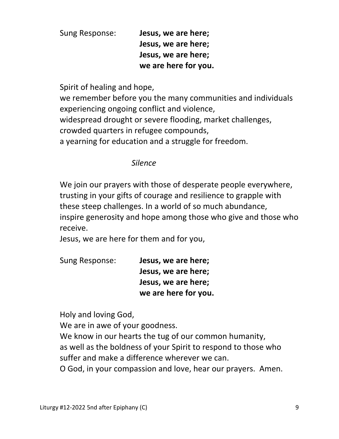Sung Response: **Jesus, we are here; Jesus, we are here; Jesus, we are here; we are here for you.** 

Spirit of healing and hope,

 we remember before you the many communities and individuals experiencing ongoing conflict and violence, widespread drought or severe flooding, market challenges, crowded quarters in refugee compounds, a yearning for education and a struggle for freedom.

### *Silence*

We join our prayers with those of desperate people everywhere, trusting in your gifts of courage and resilience to grapple with these steep challenges. In a world of so much abundance, inspire generosity and hope among those who give and those who receive.

Jesus, we are here for them and for you,

| Sung Response: | Jesus, we are here;  |
|----------------|----------------------|
|                | Jesus, we are here;  |
|                | Jesus, we are here;  |
|                | we are here for you. |

Holy and loving God,

We are in awe of your goodness.

We know in our hearts the tug of our common humanity,

 as well as the boldness of your Spirit to respond to those who suffer and make a difference wherever we can.

O God, in your compassion and love, hear our prayers. Amen.